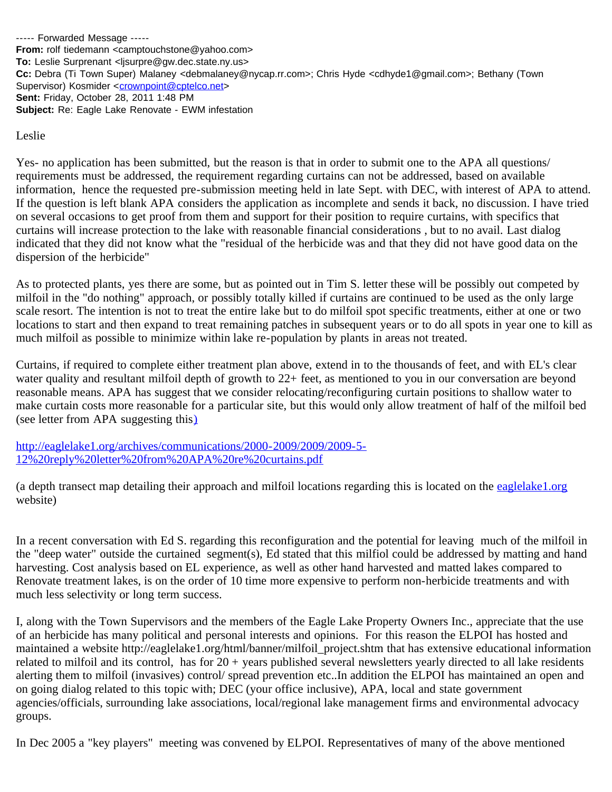----- Forwarded Message ----- **From:** rolf tiedemann <camptouchstone@yahoo.com> **To:** Leslie Surprenant <ljsurpre@gw.dec.state.ny.us> **Cc:** Debra (Ti Town Super) Malaney <debmalaney@nycap.rr.com>; Chris Hyde <cdhyde1@gmail.com>; Bethany (Town Supervisor) Kosmider <[crownpoint@cptelco.net>](mailto:crownpoint@cptelco.net) **Sent:** Friday, October 28, 2011 1:48 PM **Subject:** Re: Eagle Lake Renovate - EWM infestation

Leslie

Yes- no application has been submitted, but the reason is that in order to submit one to the APA all questions/ requirements must be addressed, the requirement regarding curtains can not be addressed, based on available information, hence the requested pre-submission meeting held in late Sept. with DEC, with interest of APA to attend. If the question is left blank APA considers the application as incomplete and sends it back, no discussion. I have tried on several occasions to get proof from them and support for their position to require curtains, with specifics that curtains will increase protection to the lake with reasonable financial considerations , but to no avail. Last dialog indicated that they did not know what the "residual of the herbicide was and that they did not have good data on the dispersion of the herbicide"

As to protected plants, yes there are some, but as pointed out in Tim S. letter these will be possibly out competed by milfoil in the "do nothing" approach, or possibly totally killed if curtains are continued to be used as the only large scale resort. The intention is not to treat the entire lake but to do milfoil spot specific treatments, either at one or two locations to start and then expand to treat remaining patches in subsequent years or to do all spots in year one to kill as much milfoil as possible to minimize within lake re-population by plants in areas not treated.

Curtains, if required to complete either treatment plan above, extend in to the thousands of feet, and with EL's clear water quality and resultant milfoil depth of growth to 22+ feet, as mentioned to you in our conversation are beyond reasonable means. APA has suggest that we consider relocating/reconfiguring curtain positions to shallow water to make curtain costs more reasonable for a particular site, but this would only allow treatment of half of the milfoil bed (see letter from APA suggesting this[\)](http://eaglelake1.org/archives/communications/2000-2009/2009/2009-5-12%20reply%20letter%20from%20APA%20re%20curtains.pdf)

[http://eaglelake1.org/archives/communications/2000-2009/2009/2009-5-](http://eaglelake1.org/archives/communications/2000-2009/2009/2009-5-12%20reply%20letter%20from%20APA%20re%20curtains.pdf) [12%20reply%20letter%20from%20APA%20re%20curtains.pdf](http://eaglelake1.org/archives/communications/2000-2009/2009/2009-5-12%20reply%20letter%20from%20APA%20re%20curtains.pdf)

(a depth transect map detailing their approach and milfoil locations regarding this is located on the [eaglelake1.org](http://eaglelake1.org/) website)

In a recent conversation with Ed S. regarding this reconfiguration and the potential for leaving much of the milfoil in the "deep water" outside the curtained segment(s), Ed stated that this milfiol could be addressed by matting and hand harvesting. Cost analysis based on EL experience, as well as other hand harvested and matted lakes compared to Renovate treatment lakes, is on the order of 10 time more expensive to perform non-herbicide treatments and with much less selectivity or long term success.

I, along with the Town Supervisors and the members of the Eagle Lake Property Owners Inc., appreciate that the use of an herbicide has many political and personal interests and opinions. For this reason the ELPOI has hosted and maintained a website http://eaglelake1.org/html/banner/milfoil\_project.shtm that has extensive educational information related to milfoil and its control, has for 20 + years published several newsletters yearly directed to all lake residents alerting them to milfoil (invasives) control/ spread prevention etc..In addition the ELPOI has maintained an open and on going dialog related to this topic with; DEC (your office inclusive), APA, local and state government agencies/officials, surrounding lake associations, local/regional lake management firms and environmental advocacy groups.

In Dec 2005 a "key players" meeting was convened by ELPOI. Representatives of many of the above mentioned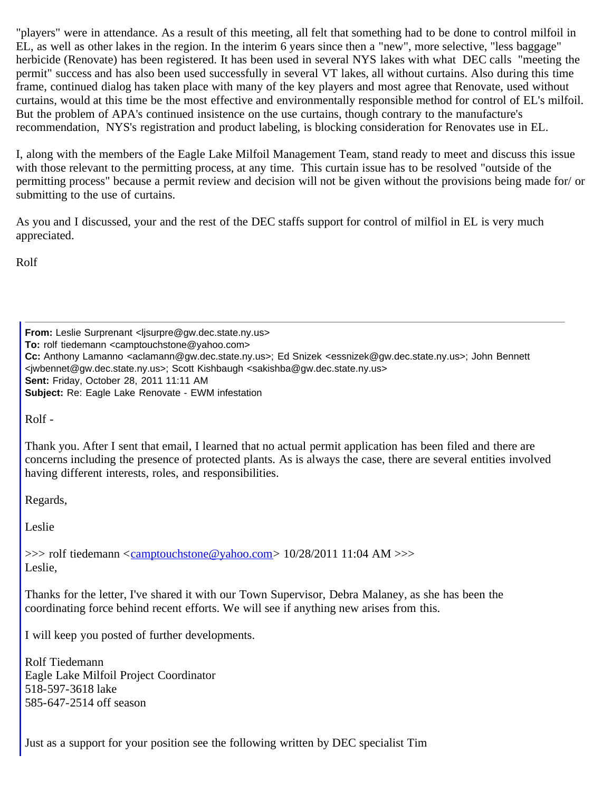"players" were in attendance. As a result of this meeting, all felt that something had to be done to control milfoil in EL, as well as other lakes in the region. In the interim 6 years since then a "new", more selective, "less baggage" herbicide (Renovate) has been registered. It has been used in several NYS lakes with what DEC calls "meeting the permit" success and has also been used successfully in several VT lakes, all without curtains. Also during this time frame, continued dialog has taken place with many of the key players and most agree that Renovate, used without curtains, would at this time be the most effective and environmentally responsible method for control of EL's milfoil. But the problem of APA's continued insistence on the use curtains, though contrary to the manufacture's recommendation, NYS's registration and product labeling, is blocking consideration for Renovates use in EL.

I, along with the members of the Eagle Lake Milfoil Management Team, stand ready to meet and discuss this issue with those relevant to the permitting process, at any time. This curtain issue has to be resolved "outside of the permitting process" because a permit review and decision will not be given without the provisions being made for/ or submitting to the use of curtains.

As you and I discussed, your and the rest of the DEC staffs support for control of milfiol in EL is very much appreciated.

Rolf

**From:** Leslie Surprenant <lisurpre@gw.dec.state.ny.us> **To:** rolf tiedemann <camptouchstone@yahoo.com> **Cc:** Anthony Lamanno <aclamann@gw.dec.state.ny.us>; Ed Snizek <essnizek@gw.dec.state.ny.us>; John Bennett <jwbennet@gw.dec.state.ny.us>; Scott Kishbaugh <sakishba@gw.dec.state.ny.us> **Sent:** Friday, October 28, 2011 11:11 AM **Subject:** Re: Eagle Lake Renovate - EWM infestation

Rolf -

Thank you. After I sent that email, I learned that no actual permit application has been filed and there are concerns including the presence of protected plants. As is always the case, there are several entities involved having different interests, roles, and responsibilities.

Regards,

Leslie

 $\gg$  rolf tiedemann <camptouchstone@yahoo.com > 10/28/2011 11:04 AM  $\gg$ Leslie,

Thanks for the letter, I've shared it with our Town Supervisor, Debra Malaney, as she has been the coordinating force behind recent efforts. We will see if anything new arises from this.

I will keep you posted of further developments.

Rolf Tiedemann Eagle Lake Milfoil Project Coordinator 518-597-3618 lake 585-647-2514 off season

Just as a support for your position see the following written by DEC specialist Tim